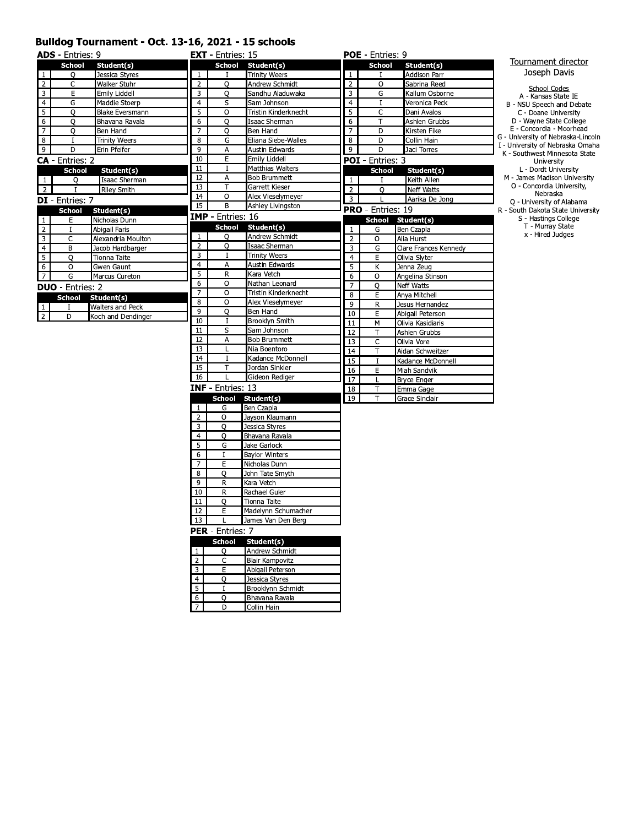#### Bulldog Tournament - Oct. 13-16, 2021 - 15 schools

 $\frac{1}{2}$ 

 $\overline{D}$ 

Collin Hain

|                | <b>ADS</b> - Entries: 9 |                      |                | <b>EXT</b> - Entries: 15 |                                            |                | <b>POE</b> - Entries: 9  |                       |                                                                   |
|----------------|-------------------------|----------------------|----------------|--------------------------|--------------------------------------------|----------------|--------------------------|-----------------------|-------------------------------------------------------------------|
|                | <b>School</b>           | Student(s)           |                | <b>School</b>            | Student(s)                                 |                | <b>School</b>            | Student(s)            | Tournament director                                               |
| $\mathbf{1}$   | О                       | Jessica Styres       | 1              | T                        | <b>Trinity Weers</b>                       | $\mathbf{1}$   | $\mathbf{I}$             | <b>Addison Parr</b>   | Joseph Davis                                                      |
| $\overline{2}$ | C                       | Walker Stuhr         | $\overline{2}$ | O                        | Andrew Schmidt                             | $\overline{2}$ | O                        | Sabrina Reed          |                                                                   |
| 3              | E                       | Emily Liddell        | 3              | O                        | Sandhu Aladuwaka                           | 3              | G                        | Kallum Osborne        | <b>School Codes</b><br>A - Kansas State IE                        |
| $\overline{4}$ | G                       | Maddie Stoerp        | $\overline{4}$ | s                        | Sam Johnson                                | $\overline{4}$ | $\mathbf I$              | Veronica Peck         | B - NSU Speech and Debate                                         |
| 5              | О                       | Blake Eversmann      | 5              | 0                        | Tristin Kinderknecht                       | 5              | C                        | Dani Avalos           | C - Doane University                                              |
| 6              | O                       | Bhavana Ravala       | 6              | O                        | Isaac Sherman                              | 6              | T                        | Ashlen Grubbs         | D - Wavne State College                                           |
| $\overline{7}$ | O                       | Ben Hand             | $\overline{7}$ | O                        | Ben Hand                                   | $\overline{7}$ | D                        | Kirsten Fike          | E - Concordia - Moorhead                                          |
| 8              | Ι.                      | <b>Trinity Weers</b> | 8              | G                        | Eliana Siebe-Walles                        | 8              | D                        | Collin Hain           | G - University of Nebraska-Lincoln                                |
| 9              | D                       | Erin Pfeifer         | 9              | А                        | Austin Edwards                             | 9              | D                        | Jaci Torres           | I - University of Nebraska Omaha<br>K - Southwest Minnesota State |
|                | <b>CA</b> - Entries: 2  |                      | 10             | E                        | Emily Liddell                              |                | <b>POI</b> - Entries: 3  |                       | University                                                        |
|                | <b>School</b>           | Student(s)           | 11             | I                        | Matthias Walters                           |                | School                   | Student(s)            | L - Dordt University                                              |
| $\mathbf{1}$   | O                       | Isaac Sherman        | 12             | Α                        | <b>Bob Brummett</b>                        | $\mathbf{1}$   | ਾ                        | Keith Allen           | M - James Madison University                                      |
| $\overline{2}$ | $\mathbf{I}$            | <b>Riley Smith</b>   | 13             | т                        | Garrett Kieser                             | $\overline{2}$ | O                        | Neff Watts            | O - Concordia University,                                         |
|                | <b>DI</b> - Entries: 7  |                      | 14             | O                        | Alex Vieselymeyer                          | 3              | L                        | Aarika De Jong        | Nebraska<br>Q - University of Alabama                             |
|                | <b>School</b>           | Student(s)           | 15             | В                        | Ashley Livingston                          |                | <b>PRO</b> - Entries: 19 |                       | R - South Dakota State University                                 |
| 1              | E                       | Nicholas Dunn        |                | <b>IMP</b> - Entries: 16 |                                            |                | <b>School</b>            | Student(s)            | S - Hastings College                                              |
| $\overline{2}$ | $\mathbf I$             | Abigail Faris        |                | <b>School</b>            | Student(s)                                 | 1              | G                        | Ben Czapla            | T - Murray State                                                  |
| 3              | C                       | Alexandria Moulton   | $\mathbf{1}$   | 0                        | Andrew Schmidt                             | $\overline{2}$ | O                        | Alia Hurst            | x - Hired Judges                                                  |
| $\overline{a}$ | B                       | Jacob Hardbarger     | $\overline{2}$ | O                        | Isaac Sherman                              | 3              | G                        | Clare Frances Kennedy |                                                                   |
| 5              | $\circ$                 | Tionna Taite         | 3              | 1                        | <b>Trinity Weers</b>                       | $\overline{4}$ | E                        | Olivia Slyter         |                                                                   |
| 6              | O                       | Gwen Gaunt           | $\overline{4}$ | А                        | Austin Edwards                             | 5              | К                        | Jenna Zeug            |                                                                   |
| $\overline{7}$ | G                       | Marcus Cureton       | 5              | R                        | Kara Vetch                                 | 6              | O                        | Angelina Stinson      |                                                                   |
|                | <b>DUO</b> - Entries: 2 |                      | 6              | O                        | Nathan Leonard                             | $\overline{7}$ | O                        | Neff Watts            |                                                                   |
|                | <b>School</b>           | Student(s)           | $\overline{7}$ | O                        | Tristin Kinderknecht                       | 8              | E                        | Anya Mitchell         |                                                                   |
| $\mathbf{1}$   | T                       | Walters and Peck     | 8              | O                        | Alex Vieselymeyer                          | 9              | R                        | Jesus Hernandez       |                                                                   |
| $\overline{2}$ | D                       | Koch and Dendinger   | 9              | O                        | Ben Hand                                   | 10             | E                        | Abigail Peterson      |                                                                   |
|                |                         |                      | 10             | I                        | Brooklyn Smith                             | 11             | М                        | Olivia Kasidiaris     |                                                                   |
|                |                         |                      | 11             | s                        | Sam Johnson                                | 12             | T                        | Ashlen Grubbs         |                                                                   |
|                |                         |                      | 12             | А                        | <b>Bob Brummett</b>                        | 13             | C                        | Olivia Vore           |                                                                   |
|                |                         |                      | 13             | L                        | Nia Boentoro                               | 14             | T                        | Aidan Schweitzer      |                                                                   |
|                |                         |                      | 14             | 1                        | Kadance McDonnell                          | 15             | $\bf{I}$                 | Kadance McDonnell     |                                                                   |
|                |                         |                      | 15             | т                        | Jordan Sinkler                             | 16             | E                        | Miah Sandvik          |                                                                   |
|                |                         |                      | 16             | L                        | Gideon Rediger                             | 17             | L                        | <b>Bryce Enger</b>    |                                                                   |
|                |                         |                      |                | <b>INF</b> - Entries: 13 |                                            | 18             | T                        | Emma Gage             |                                                                   |
|                |                         |                      |                | School                   | Student(s)                                 | 19             | T                        | Grace Sinclair        |                                                                   |
|                |                         |                      | $\mathbf{1}$   | G                        | Ben Czapla                                 |                |                          |                       |                                                                   |
|                |                         |                      | 2              | O                        | Jayson Klaumann                            |                |                          |                       |                                                                   |
|                |                         |                      | 3              | O                        | Jessica Styres                             |                |                          |                       |                                                                   |
|                |                         |                      | $\overline{4}$ | O                        | Bhavana Ravala                             |                |                          |                       |                                                                   |
|                |                         |                      | 5              | G                        | Jake Garlock                               |                |                          |                       |                                                                   |
|                |                         |                      | 6              | I                        | <b>Baylor Winters</b>                      |                |                          |                       |                                                                   |
|                |                         |                      | $\overline{7}$ | E                        | Nicholas Dunn                              |                |                          |                       |                                                                   |
|                |                         |                      | 8              | O                        | John Tate Smyth                            |                |                          |                       |                                                                   |
|                |                         |                      | 9              | R                        | Kara Vetch                                 |                |                          |                       |                                                                   |
|                |                         |                      | 10             | R                        | Rachael Guler                              |                |                          |                       |                                                                   |
|                |                         |                      | 11<br>12       | O<br>E                   | Tionna Taite<br>Madelynn Schumacher        |                |                          |                       |                                                                   |
|                |                         |                      |                |                          |                                            |                |                          |                       |                                                                   |
|                |                         |                      | 13 I           | L                        | James Van Den Berg                         |                |                          |                       |                                                                   |
|                |                         |                      |                | <b>PER</b> - Entries: 7  |                                            |                |                          |                       |                                                                   |
|                |                         |                      |                | <b>School</b>            | Student(s)                                 |                |                          |                       |                                                                   |
|                |                         |                      | $\mathbf{1}$   | Q                        | Andrew Schmidt                             |                |                          |                       |                                                                   |
|                |                         |                      | 2              | C                        | <b>Blair Kampovitz</b>                     |                |                          |                       |                                                                   |
|                |                         |                      | 3              | Е                        | Abigail Peterson                           |                |                          |                       |                                                                   |
|                |                         |                      | 4              | O<br>I                   | Jessica Styres                             |                |                          |                       |                                                                   |
|                |                         |                      | 5              | $\Omega$                 | Brooklynn Schmidt<br><b>Bhavana Ravala</b> |                |                          |                       |                                                                   |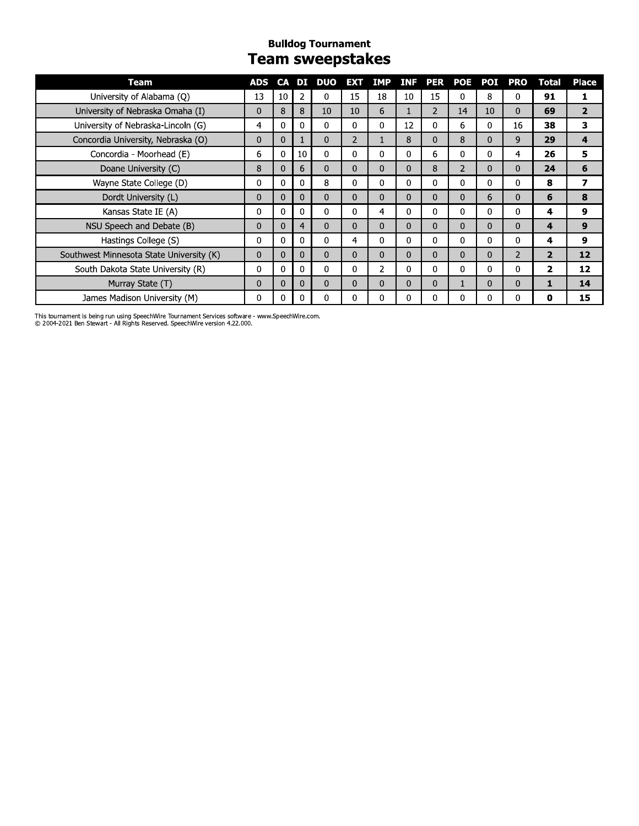#### **Bulldog Tournament Team sweepstakes**

| Team                                     | ADS      | <b>CA</b>    |                | DI DUO       | <b>EXT</b>     | <b>IMP</b>     | <b>INF</b> |                | <b>PER POE</b> | POI          | <b>PRO</b>     | <b>Total</b>   | <b>Place</b>   |
|------------------------------------------|----------|--------------|----------------|--------------|----------------|----------------|------------|----------------|----------------|--------------|----------------|----------------|----------------|
| University of Alabama (Q)                | 13       | 10           | 2              | 0            | 15             | 18             | 10         | 15             | 0              | 8            | 0              | 91             | 1              |
| University of Nebraska Omaha (I)         | 0        | 8            | 8              | 10           | 10             | 6              | 1          | $\overline{2}$ | 14             | 10           | $\mathbf{0}$   | 69             | $\overline{2}$ |
| University of Nebraska-Lincoln (G)       | 4        | 0            | 0              | $\Omega$     | 0              | 0              | 12         | 0              | 6              | 0            | 16             | 38             | 3              |
| Concordia University, Nebraska (O)       | $\Omega$ | $\mathbf 0$  |                | $\Omega$     | $\overline{2}$ |                | 8          | $\Omega$       | 8              | 0            | 9              | 29             | 4              |
| Concordia - Moorhead (E)                 | 6        | $\mathbf{0}$ | 10             | $\mathbf{0}$ | 0              | 0              | 0          | 6              | 0              | $\mathbf{0}$ | 4              | 26             | 5              |
| Doane University (C)                     | 8        | $\mathbf{0}$ | 6              | $\Omega$     | 0              | $\Omega$       | 0          | 8              | $\overline{2}$ | $\Omega$     | $\Omega$       | 24             | 6              |
| Wayne State College (D)                  | 0        | $\mathbf 0$  | 0              | 8            | 0              | 0              | 0          | 0              | $\mathbf 0$    | $\mathbf 0$  | 0              | 8              | 7              |
| Dordt University (L)                     | 0        | $\Omega$     | $\Omega$       | $\Omega$     | 0              | $\Omega$       | $\Omega$   | $\Omega$       | $\mathbf{0}$   | 6            | $\Omega$       | 6              | 8              |
| Kansas State IE (A)                      | 0        | 0            | $\Omega$       | $\Omega$     | 0              | 4              | 0          | $\Omega$       | 0              | $\mathbf{0}$ | 0              | 4              | 9              |
| NSU Speech and Debate (B)                | 0        | $\mathbf{0}$ | $\overline{4}$ | $\mathbf{0}$ | 0              | $\mathbf{0}$   | $\Omega$   | $\mathbf{0}$   | $\mathbf{0}$   | $\mathbf{0}$ | $\mathbf{0}$   | 4              | 9              |
| Hastings College (S)                     | 0        | 0            | $\Omega$       | $\Omega$     | 4              | 0              | 0          | 0              | 0              | $\mathbf{0}$ | $\Omega$       | 4              | 9              |
| Southwest Minnesota State University (K) | $\Omega$ | $\Omega$     | $\mathbf{0}$   | $\Omega$     | 0              | $\Omega$       | $\Omega$   | $\Omega$       | $\mathbf{0}$   | $\mathbf{0}$ | $\overline{2}$ | $\overline{2}$ | 12             |
| South Dakota State University (R)        | 0        | $\mathbf{0}$ | $\Omega$       | $\mathbf{0}$ | 0              | $\overline{2}$ | 0          | 0              | $\mathbf{0}$   | $\mathbf{0}$ | 0              | $\overline{2}$ | 12             |
| Murray State (T)                         | 0        | $\mathbf{0}$ | 0              | $\Omega$     | $\Omega$       | $\Omega$       | 0          | $\mathbf{0}$   |                | $\Omega$     | $\Omega$       | 1              | 14             |
| James Madison University (M)             | 0        | 0            | $\Omega$       | $\Omega$     | 0              | 0              | 0          | 0              | $\Omega$       | $\Omega$     | $\Omega$       | 0              | 15             |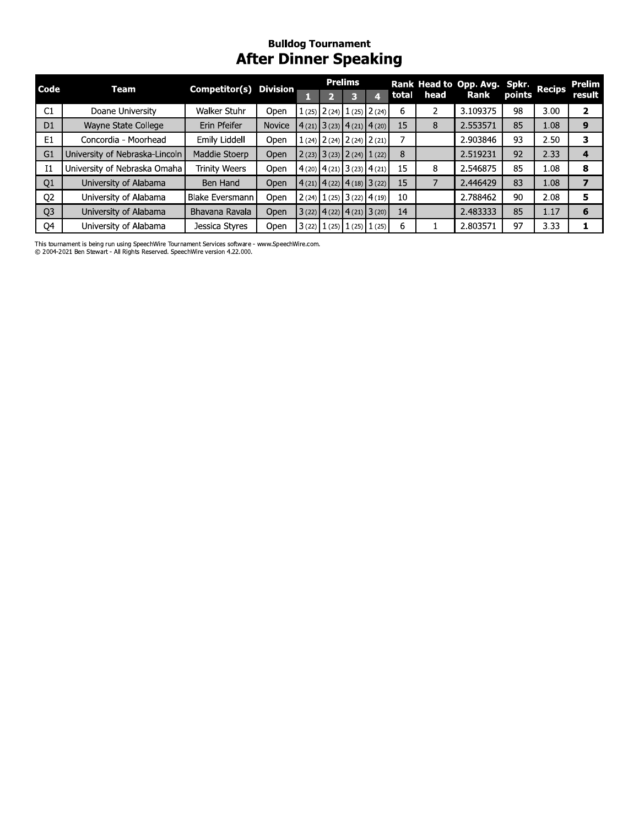## **Bulldog Tournament**<br>**After Dinner Speaking**

| Code           | Team                           | Competitor( $\overline{s}$ ) Division |        |                               | <b>Prelims</b>                  |       |      | Rank Head to Opp. Avg. Spkr. |        | <b>Recips</b> | Prelim |
|----------------|--------------------------------|---------------------------------------|--------|-------------------------------|---------------------------------|-------|------|------------------------------|--------|---------------|--------|
|                |                                |                                       |        |                               |                                 | total | head | Rank                         | points |               | result |
| C1             | Doane University               | Walker Stuhr                          | Open   |                               | $1(25)$ $2(24)$ $1(25)$ $2(24)$ | 6     |      | 3.109375                     | 98     | 3.00          | 2      |
| D <sub>1</sub> | Wayne State College            | Erin Pfeifer                          | Novice |                               | $4(21)$ 3 (23) 4 (21) 4 (20)    | 15    | 8    | 2.553571                     | 85     | 1.08          | 9      |
| E <sub>1</sub> | Concordia - Moorhead           | Emily Liddell                         | Open   |                               | $1(24)$ $2(24)$ $2(24)$ $2(21)$ |       |      | 2.903846                     | 93     | 2.50          | 3      |
| G1             | University of Nebraska-Lincoln | Maddie Stoerp                         | Open   |                               | $2(23)$ $3(23)$ $2(24)$ $1(22)$ | 8     |      | 2.519231                     | 92     | 2.33          | 4      |
| I <sub>1</sub> | University of Nebraska Omaha   | <b>Trinity Weers</b>                  | Open   |                               | $4(20)$ $4(21)$ $3(23)$ $4(21)$ | 15    | 8    | 2.546875                     | 85     | 1.08          | 8      |
| Q <sub>1</sub> | University of Alabama          | Ben Hand                              | Open   | 4(21)   4(22)   4(18)   3(22) |                                 | 15    |      | 2.446429                     | 83     | 1.08          |        |
| Q <sub>2</sub> | University of Alabama          | <b>Blake Eversmann</b>                | Open   |                               | $2(24)$ $1(25)$ $3(22)$ $4(19)$ | 10    |      | 2.788462                     | 90     | 2.08          | 5      |
| Q <sub>3</sub> | University of Alabama          | Bhavana Ravala                        | Open   |                               | $3(22)$ $4(22)$ $4(21)$ $3(20)$ | 14    |      | 2.483333                     | 85     | 1.17          | 6      |
| Q4             | University of Alabama          | Jessica Styres                        | Open   |                               | $3(22)$ $1(25)$ $1(25)$ $1(25)$ | 6     |      | 2.803571                     | 97     | 3.33          |        |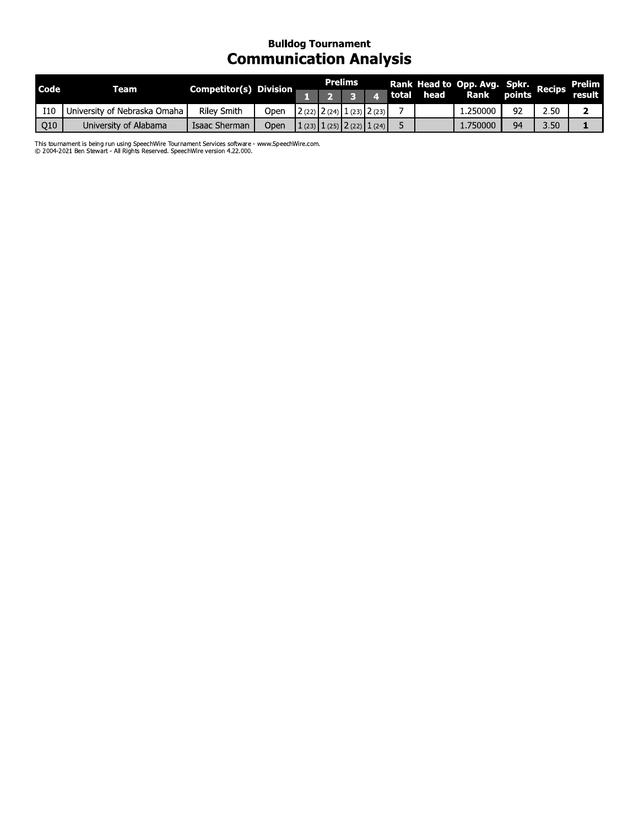# **Bulldog Tournament**<br>Communication Analysis

| <b>Code</b> | Team                         | Competitor(s) Division |      |  | <b>Prelims</b> |                                 |  | Rank Head to Opp. Avg. Spkr. Recips<br>  total head Rank points Recips |    |      | Prelim |
|-------------|------------------------------|------------------------|------|--|----------------|---------------------------------|--|------------------------------------------------------------------------|----|------|--------|
|             |                              |                        |      |  |                |                                 |  |                                                                        |    |      | result |
| <b>I10</b>  | University of Nebraska Omaha | <b>Riley Smith</b>     | Open |  |                | $2(22)$ $2(24)$ $1(23)$ $2(23)$ |  | 250000                                                                 | 92 | 2.50 |        |
| Q10         | University of Alabama        | Isaac Sherman          | Open |  |                | $1(23)$ $1(25)$ $2(22)$ $1(24)$ |  | 1,750000                                                               | 94 | 3.50 |        |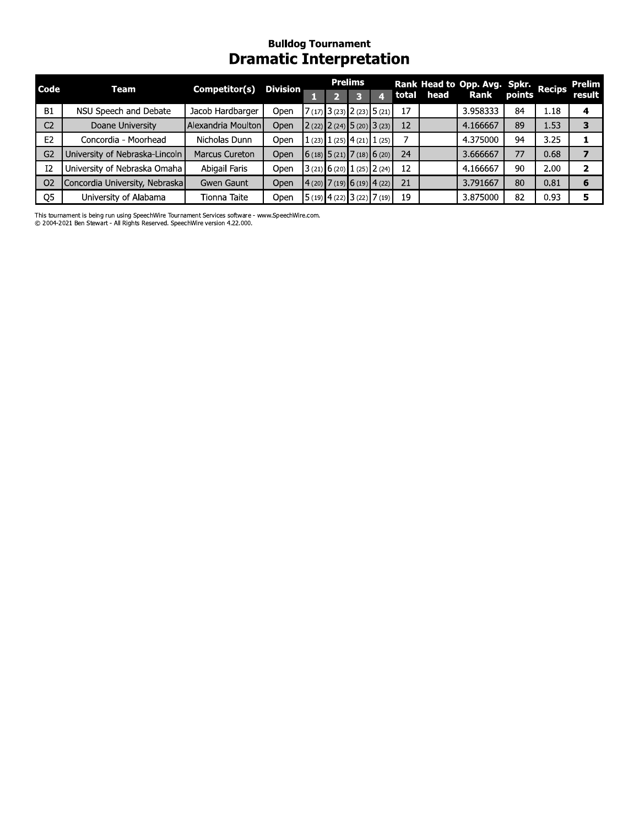## **Bulldog Tournament**<br>Dramatic Interpretation

| Code           | Team                           | Competitor(s)         | <b>Division</b> |  | <b>Prelims</b>                  |    | Rank Head to Opp. Avg. Spkr.<br>  total head Rank points Recips |    |      | Prelim |
|----------------|--------------------------------|-----------------------|-----------------|--|---------------------------------|----|-----------------------------------------------------------------|----|------|--------|
|                |                                |                       |                 |  |                                 |    |                                                                 |    |      | result |
| <b>B1</b>      | NSU Speech and Debate          | Jacob Hardbarger      | Open            |  | $7(17)$ 3 (23) 2 (23) 5 (21)    | 17 | 3.958333                                                        | 84 | 1.18 | 4      |
| C <sub>2</sub> | Doane University               | Alexandria Moulton    | Open            |  | $2(22)$ $2(24)$ $5(20)$ $3(23)$ | 12 | 4.166667                                                        | 89 | 1.53 | 3      |
| E <sub>2</sub> | Concordia - Moorhead           | Nicholas Dunn         | Open            |  | 1 (23) 1 (25) 4 (21) 1 (25)     |    | 4.375000                                                        | 94 | 3.25 |        |
| G <sub>2</sub> | University of Nebraska-Lincoln | <b>Marcus Cureton</b> | Open            |  | $6(18)$ 5 (21) 7 (18) 6 (20)    | 24 | 3.666667                                                        | 77 | 0.68 |        |
| I2             | University of Nebraska Omaha   | Abigail Faris         | Open            |  | 3(21) 6(20) 1(25) 2(24)         | 12 | 4.166667                                                        | 90 | 2.00 |        |
| O <sub>2</sub> | Concordia University, Nebraska | Gwen Gaunt            | Open            |  | (4(20) 7(19) 6(19) 4(22)        | 21 | 3.791667                                                        | 80 | 0.81 | 6      |
| Q <sub>5</sub> | University of Alabama          | Tionna Taite          | Open            |  | $15(19)$ 4 (22) 3 (22) 7 (19)   | 19 | 3.875000                                                        | 82 | 0.93 | 5      |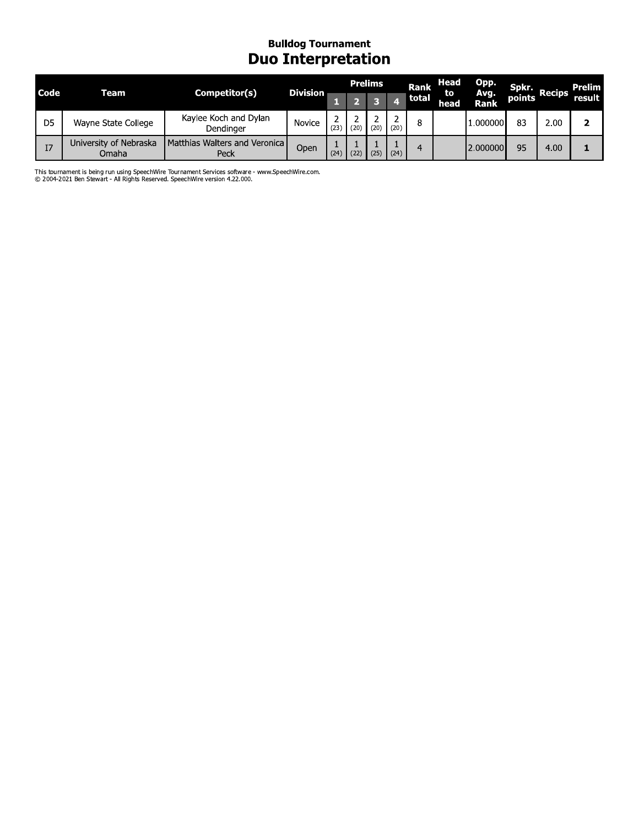#### **Bulldog Tournament Duo Interpretation**

| Code           | Team                            | Competitor(s)                         | <b>Division</b> |      |              | <b>Prelims</b> |      | Rank  | Head<br>to | <b>Opp.</b>         | Spkr.  | <b>Recips</b> | Prelim |
|----------------|---------------------------------|---------------------------------------|-----------------|------|--------------|----------------|------|-------|------------|---------------------|--------|---------------|--------|
|                |                                 |                                       |                 |      |              |                |      | total | head       | Avg.<br><b>Rank</b> | points |               | result |
| D <sub>5</sub> | Wayne State College             | Kaylee Koch and Dylan<br>Dendinger    | Novice          | (23) | (20)         | (20)           | (20) | 8     |            | 1.000000            | 83     | 2.00          |        |
| I7             | University of Nebraska<br>Omaha | Matthias Walters and Veronica<br>Peck | Open            | (24) | $22^{\circ}$ | (25)           | (24) | 4     |            | 2.000000            | 95     | 4.00          |        |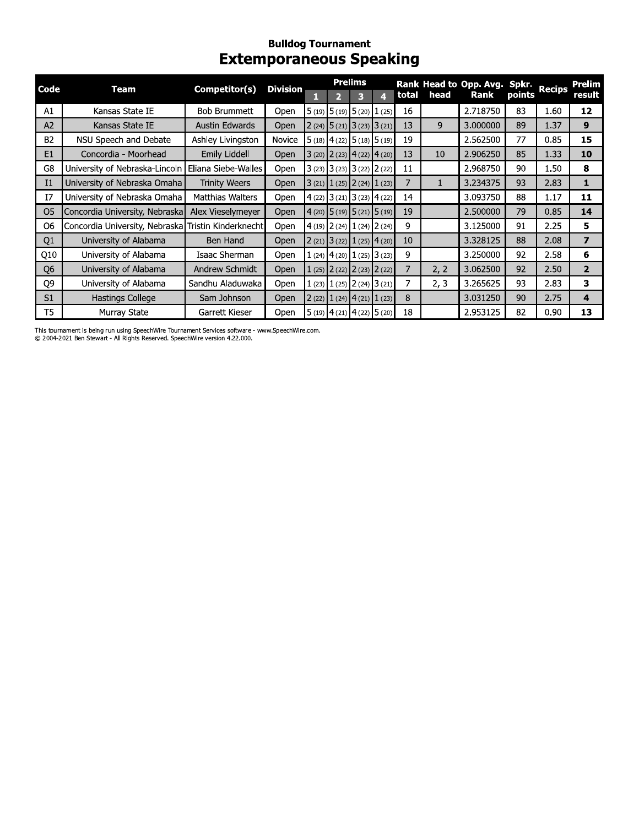#### **Bulldog Tournament Extemporaneous Speaking**

| Code           | Team                                                | Competitor(s)        | <b>Division</b> |   |                                 | <b>Prelims</b> |   |       |      | Rank Head to Opp. Avg. Spkr. |        | <b>Recips</b> | Prelim                  |
|----------------|-----------------------------------------------------|----------------------|-----------------|---|---------------------------------|----------------|---|-------|------|------------------------------|--------|---------------|-------------------------|
|                |                                                     |                      |                 | н |                                 | з              | 4 | total | head | Rank                         | points |               | result                  |
| A1             | Kansas State IE                                     | Bob Brummett         | Open            |   | $5(19)$ $5(19)$ $5(20)$ $1(25)$ |                |   | 16    |      | 2.718750                     | 83     | 1.60          | 12                      |
| A2             | Kansas State IE                                     | Austin Edwards       | <b>Open</b>     |   | $2(24)$ 5 (21) 3 (23) 3 (21)    |                |   | 13    | 9    | 3.000000                     | 89     | 1.37          | 9                       |
| <b>B2</b>      | NSU Speech and Debate                               | Ashley Livingston    | Novice          |   | $5(18)$ 4 (22) 5 (18) 5 (19)    |                |   | 19    |      | 2.562500                     | 77     | 0.85          | 15                      |
| E1             | Concordia - Moorhead                                | Emily Liddell        | Open            |   | $3(20)$ $2(23)$ $4(22)$ $4(20)$ |                |   | 13    | 10   | 2.906250                     | 85     | 1.33          | 10                      |
| G8             | University of Nebraska-Lincoln                      | Eliana Siebe-Walles  | Open            |   | $3(23)$ $3(23)$ $3(22)$ $2(22)$ |                |   | 11    |      | 2.968750                     | 90     | 1.50          | 8                       |
| I <sub>1</sub> | University of Nebraska Omaha                        | <b>Trinity Weers</b> | Open            |   | $3(21)$ $1(25)$ $2(24)$ $1(23)$ |                |   | 7     |      | 3.234375                     | 93     | 2.83          | 1                       |
| 17             | University of Nebraska Omaha                        | Matthias Walters     | Open            |   | $4(22)$ 3 (21) 3 (23) 4 (22)    |                |   | 14    |      | 3.093750                     | 88     | 1.17          | 11                      |
| O <sub>5</sub> | Concordia University, Nebraska                      | Alex Vieselymeyer    | <b>Open</b>     |   | $(4(20)$ 5 (19) 5 (21) 5 (19)   |                |   | 19    |      | 2.500000                     | 79     | 0.85          | 14                      |
| О6             | Concordia University, Nebraska Tristin Kinderknecht |                      | Open            |   | $4(19)$ $2(24)$ $1(24)$ $2(24)$ |                |   | 9     |      | 3.125000                     | 91     | 2.25          | 5                       |
| Q <sub>1</sub> | University of Alabama                               | Ben Hand             | Open            |   | $2(21)$ 3 (22) 1 (25) 4 (20)    |                |   | 10    |      | 3.328125                     | 88     | 2.08          | $\overline{\mathbf{z}}$ |
| Q10            | University of Alabama                               | Isaac Sherman        | Open            |   | $1(24)$ 4 (20) 1 (25) 3 (23)    |                |   | 9     |      | 3.250000                     | 92     | 2.58          | 6                       |
| Q <sub>6</sub> | University of Alabama                               | Andrew Schmidt       | <b>Open</b>     |   | $1(25)$ $2(22)$ $2(23)$ $2(22)$ |                |   | 7     | 2, 2 | 3.062500                     | 92     | 2.50          | $\overline{2}$          |
| Q9             | University of Alabama                               | Sandhu Aladuwaka     | <b>Open</b>     |   | $(23)$ 1 (25) 2 (24) 3 (21)     |                |   | 7     | 2, 3 | 3.265625                     | 93     | 2.83          | 3                       |
| S <sub>1</sub> | Hastings College                                    | Sam Johnson          | Open            |   | $2(22)$ $1(24)$ $4(21)$ $1(23)$ |                |   | 8     |      | 3.031250                     | 90     | 2.75          | 4                       |
| T5             | Murray State                                        | Garrett Kieser       | Open            |   | $5(19)$ 4 (21) 4 (22) 5 (20)    |                |   | 18    |      | 2.953125                     | 82     | 0.90          | 13                      |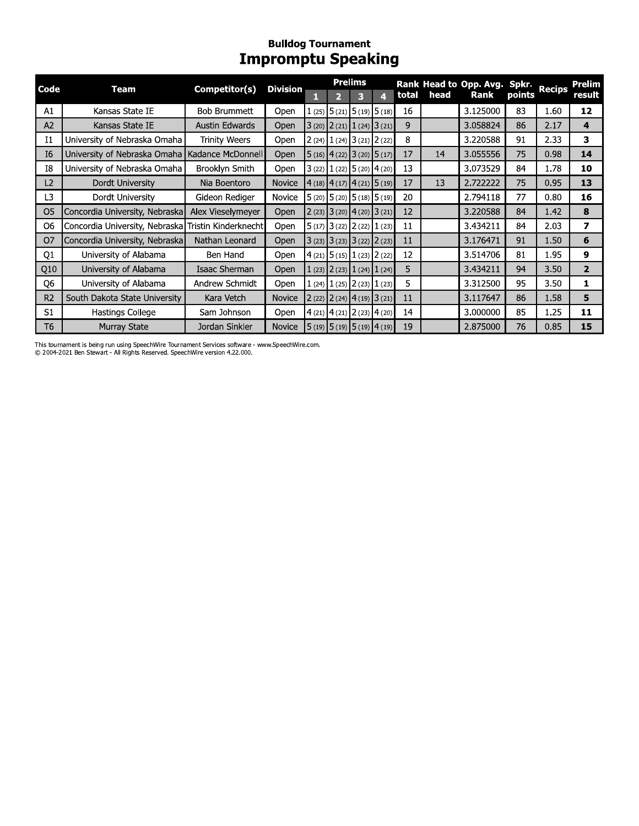## **Bulldog Tournament**<br>Impromptu Speaking

| Code           | Team                                                | Competitor(s)         | <b>Division</b> |   |                                                             | <b>Prelims</b> |   |       |      | Rank Head to Opp. Avg. Spkr. |        | <b>Recips</b> | <b>Prelim</b>           |
|----------------|-----------------------------------------------------|-----------------------|-----------------|---|-------------------------------------------------------------|----------------|---|-------|------|------------------------------|--------|---------------|-------------------------|
|                |                                                     |                       |                 | п | $\overline{2}$                                              | з              | 4 | total | head | Rank                         | points |               | result                  |
| A1             | Kansas State IE                                     | <b>Bob Brummett</b>   | Open            |   | $(25)$ 5 (21) 5 (19) 5 (18)                                 |                |   | 16    |      | 3.125000                     | 83     | 1.60          | 12                      |
| A2             | Kansas State IE                                     | <b>Austin Edwards</b> | Open            |   | $3(20)$ $2(21)$ $1(24)$ $3(21)$                             |                |   | 9     |      | 3.058824                     | 86     | 2.17          | 4                       |
| 11             | University of Nebraska Omaha                        | <b>Trinity Weers</b>  | Open            |   | $2(24)$ $1(24)$ $3(21)$ $2(22)$                             |                |   | 8     |      | 3.220588                     | 91     | 2.33          | 3                       |
| I6             | University of Nebraska Omaha Kadance McDonnell      |                       | Open            |   | $5(16)$ 4 (22) 3 (20) 5 (17)                                |                |   | 17    | 14   | 3.055556                     | 75     | 0.98          | 14                      |
| I8             | University of Nebraska Omaha                        | Brooklyn Smith        | Open            |   | $3(22)$ $1(22)$ $5(20)$ $4(20)$                             |                |   | 13    |      | 3.073529                     | 84     | 1.78          | 10                      |
| L2             | Dordt University                                    | Nia Boentoro          | <b>Novice</b>   |   | $\vert$ 4 (18) $\vert$ 4 (17) $\vert$ 4 (21) $\vert$ 5 (19) |                |   | 17    | 13   | 2.722222                     | 75     | 0.95          | 13                      |
| L3             | Dordt University                                    | Gideon Rediger        | Novice          |   | $5(20)$ $5(20)$ $5(18)$ $5(19)$                             |                |   | 20    |      | 2.794118                     | 77     | 0.80          | 16                      |
| O <sub>5</sub> | Concordia University, Nebraska                      | Alex Vieselymeyer     | <b>Open</b>     |   | $2(23)$ 3 (20) 4 (20) 3 (21)                                |                |   | 12    |      | 3.220588                     | 84     | 1.42          | 8                       |
| O6             | Concordia University, Nebraska Tristin Kinderknecht |                       | Open            |   | $5(17)$ 3 (22) 2 (22) 1 (23)                                |                |   | 11    |      | 3.434211                     | 84     | 2.03          | 7                       |
| O7             | Concordia University, Nebraska                      | Nathan Leonard        | Open            |   | $3(23)$ $3(23)$ $3(22)$ $2(23)$                             |                |   | 11    |      | 3.176471                     | 91     | 1.50          | 6                       |
| Q1             | University of Alabama                               | Ben Hand              | Open            |   | $4(21)$ 5 (15) 1 (23) 2 (22)                                |                |   | 12    |      | 3.514706                     | 81     | 1.95          | 9                       |
| Q10            | University of Alabama                               | Isaac Sherman         | Open            |   | $(23)$ 2 (23) 1 (24) 1 (24)                                 |                |   | 5     |      | 3.434211                     | 94     | 3.50          | $\overline{\mathbf{2}}$ |
| Q <sub>6</sub> | University of Alabama                               | Andrew Schmidt        | Open            |   | $(24)$ $1(25)$ $2(23)$ $1(23)$                              |                |   | 5     |      | 3.312500                     | 95     | 3.50          | 1                       |
| R <sub>2</sub> | South Dakota State University                       | Kara Vetch            | <b>Novice</b>   |   | $2(22)$ $2(24)$ $4(19)$ $3(21)$                             |                |   | 11    |      | 3.117647                     | 86     | 1.58          | 5                       |
| S <sub>1</sub> | Hastings College                                    | Sam Johnson           | Open            |   | $4(21)$ $4(21)$ $2(23)$ $4(20)$                             |                |   | 14    |      | 3.000000                     | 85     | 1.25          | 11                      |
| T6             | <b>Murray State</b>                                 | Jordan Sinkler        | <b>Novice</b>   |   | $\vert$ 5 (19) $\vert$ 5 (19) $\vert$ 5 (19) $\vert$ 4 (19) |                |   | 19    |      | 2.875000                     | 76     | 0.85          | 15                      |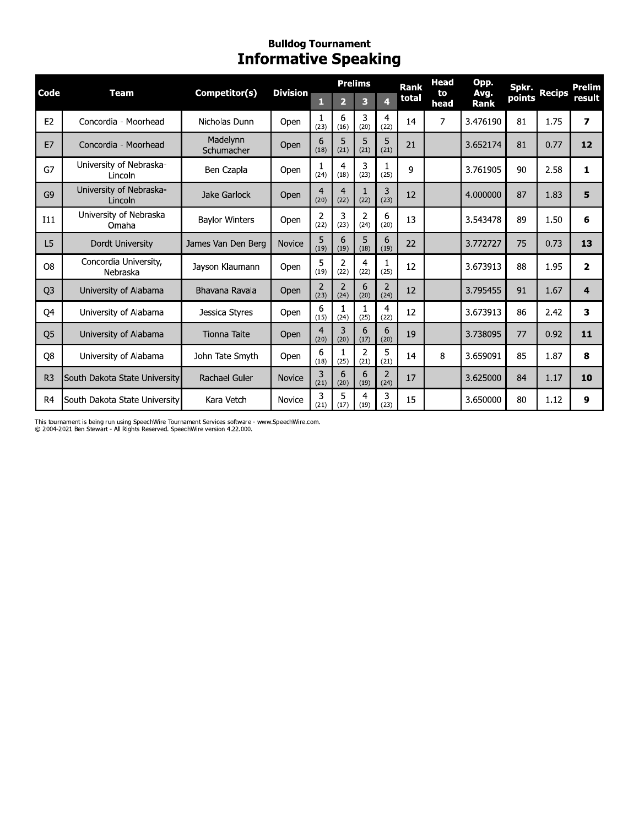### Bullaog Tournament **Informative Speaking**

|                |                                    |                        | <b>Bulldog Tournament</b><br><b>Informative Speaking</b> |                        |                        |                        |           |                      |                           |                      |                 |               |                         |
|----------------|------------------------------------|------------------------|----------------------------------------------------------|------------------------|------------------------|------------------------|-----------|----------------------|---------------------------|----------------------|-----------------|---------------|-------------------------|
| Code           | <b>Team</b>                        | Competitor(s)          | <b>Division</b>                                          | п                      | $\overline{2}$         | <b>Prelims</b><br>3    | 4         | <b>Rank</b><br>total | <b>Head</b><br>to<br>head | Opp.<br>Avg.<br>Rank | Spkr.<br>points | <b>Recips</b> | <b>Prelim</b><br>result |
| E2             | Concordia - Moorhead               | Nicholas Dunn          | Open                                                     | 1<br>(23)              | 6<br>(16)              | 3<br>(20)              | 4<br>(22) | 14                   | 7                         | 3.476190             | 81              | 1.75          | $\overline{z}$          |
| E7             | Concordia - Moorhead               | Madelynn<br>Schumacher | Open                                                     | 6<br>(18)              | 5<br>(21)              | 5<br>(21)              | 5<br>(21) | 21                   |                           | 3.652174             | 81              | 0.77          | 12                      |
| G7             | University of Nebraska-<br>Lincoln | Ben Czapla             | Open                                                     | 1<br>(24)              | 4<br>(18)              | 3<br>(23)              | 1<br>(25) | 9                    |                           | 3.761905             | 90              | 2.58          | $\mathbf{1}$            |
| G <sub>9</sub> | University of Nebraska-<br>Lincoln | Jake Garlock           | Open                                                     | $\overline{4}$<br>(20) | $\overline{4}$<br>(22) | 1<br>(22)              | 3<br>(23) | 12                   |                           | 4.000000             | 87              | 1.83          | 5                       |
| I11            | University of Nebraska<br>Omaha    | <b>Baylor Winters</b>  | Open                                                     | 2<br>(22)              | 3<br>(23)              | $\overline{2}$<br>(24) | 6<br>(20) | 13                   |                           | 3.543478             | 89              | 1.50          | 6                       |
| L <sub>5</sub> | Dordt University                   | James Van Den Berg     | Novice                                                   | 5<br>(19)              | 6<br>(19)              | 5<br>(18)              | 6<br>(19) | 22                   |                           | 3.772727             | 75              | 0.73          | 13                      |
| O <sub>8</sub> | Concordia University,<br>Nebraska  | Jayson Klaumann        | Open                                                     | 5<br>(19)              | $\overline{2}$<br>(22) | 4<br>(22)              | 1<br>(25) | 12                   |                           | 3.673913             | 88              | 1.95          | $\overline{\mathbf{2}}$ |
| Q <sub>3</sub> | University of Alabama              | Bhavana Ravala         | Open                                                     | $\overline{2}$<br>(23) | $\overline{2}$<br>(24) | 6<br>(20)              | 2<br>(24) | 12                   |                           | 3.795455             | 91              | 1.67          | 4                       |
| Q4             | University of Alabama              | Jessica Styres         | Open                                                     | 6<br>(15)              | 1<br>(24)              | 1<br>(25)              | 4<br>(22) | 12                   |                           | 3.673913             | 86              | 2.42          | 3                       |
| Q <sub>5</sub> | University of Alabama              | <b>Tionna Taite</b>    | Open                                                     | $\overline{4}$<br>(20) | 3<br>(20)              | 6<br>(17)              | 6<br>(20) | 19                   |                           | 3.738095             | 77              | 0.92          | 11                      |
| Q8             | University of Alabama              | John Tate Smyth        | Open                                                     | 6<br>(18)              | 1<br>(25)              | 2<br>(21)              | 5<br>(21) | 14                   | 8                         | 3.659091             | 85              | 1.87          | 8                       |
| R <sub>3</sub> | South Dakota State University      | Rachael Guler          | Novice                                                   | 3<br>(21)              | 6<br>(20)              | 6<br>(19)              | 2<br>(24) | 17                   |                           | 3.625000             | 84              | 1.17          | 10                      |
| R <sub>4</sub> | South Dakota State University      | Kara Vetch             | Novice                                                   | 3<br>(21)              | 5<br>(17)              | 4<br>(19)              | 3<br>(23) | 15                   |                           | 3.650000             | 80              | 1.12          | 9                       |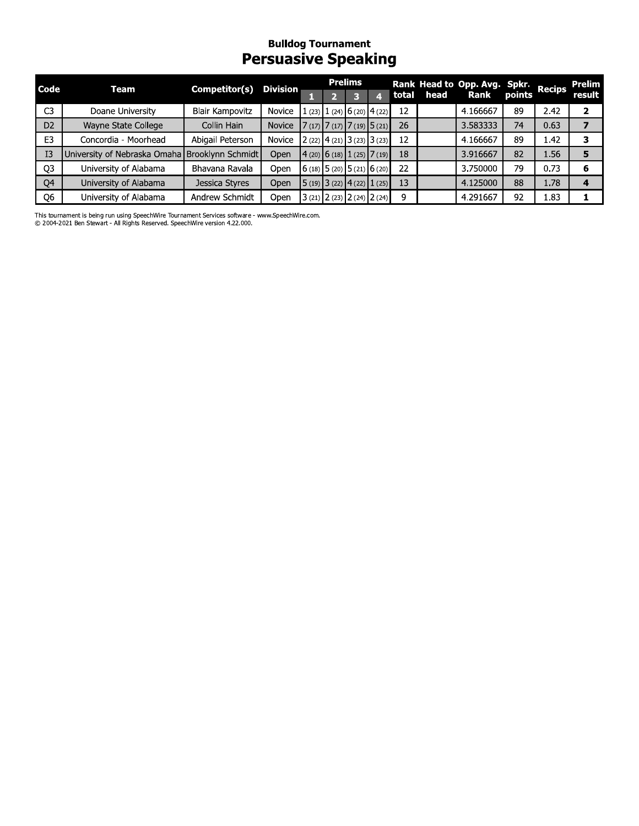### Bullaog Tournament Persuasive Speaking

|                |                              |                        | <b>Bulldog Tournament</b><br><b>Persuasive Speaking</b> |  |                                                                         |       |      |                              |        |               |                         |
|----------------|------------------------------|------------------------|---------------------------------------------------------|--|-------------------------------------------------------------------------|-------|------|------------------------------|--------|---------------|-------------------------|
| Code           | Team                         | Competitor(s)          | <b>Division</b>                                         |  | <b>Prelims</b>                                                          |       |      | Rank Head to Opp. Avg. Spkr. |        | <b>Recips</b> | Prelim                  |
|                |                              |                        |                                                         |  | 3                                                                       | total | head | <b>Rank</b>                  | points |               | result                  |
| C <sub>3</sub> | Doane University             | <b>Blair Kampovitz</b> | Novice                                                  |  | $(23)$ 1 (24) 6 (20) 4 (22)                                             | 12    |      | 4.166667                     | 89     | 2.42          |                         |
| D <sub>2</sub> | Wayne State College          | Collin Hain            | Novice                                                  |  | $7(17)$ $7(17)$ $7(19)$ $5(21)$                                         | 26    |      | 3.583333                     | 74     | 0.63          | $\overline{\mathbf{z}}$ |
| E <sub>3</sub> | Concordia - Moorhead         | Abigail Peterson       | Novice                                                  |  | $2(22)$ 4 (21) 3 (23) 3 (23)                                            | 12    |      | 4.166667                     | 89     | 1.42          | 3                       |
| I3             | University of Nebraska Omaha | Brooklynn Schmidt      | Open                                                    |  | $\left  \frac{4(20)}{6(18)} \right  \left  \frac{1(25)}{7(19)} \right $ | 18    |      | 3.916667                     | 82     | 1.56          | 5                       |
| Q3             | University of Alabama        | Bhavana Ravala         | Open                                                    |  | $\left  6(18) 5(20) 5(21) 6(20) \right $                                | 22    |      | 3.750000                     | 79     | 0.73          | 6                       |
| Q4             | University of Alabama        | Jessica Styres         | Open                                                    |  | $\vert 5(19) \vert 3(22) \vert 4(22) \vert 1(25) \vert$                 | 13    |      | 4.125000                     | 88     | 1.78          | 4                       |
| Q <sub>6</sub> | University of Alabama        | Andrew Schmidt         | Open                                                    |  | $3(21)$ $2(23)$ $2(24)$ $2(24)$                                         | 9     |      | 4.291667                     | 92     | 1.83          |                         |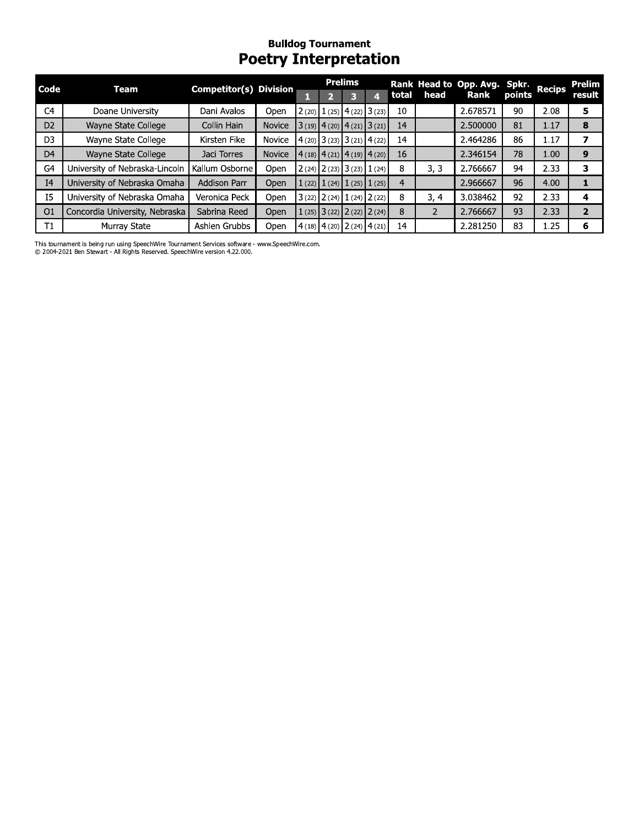### Bullaog Tournament Poetry Interpretation

| Code           | <b>Team</b>                    | <b>Competitor(s) Division</b> |               |   |                         | <b>Prelims</b>          |                                                   |                |               | Rank Head to Opp. Avg. Spkr. |        | <b>Recips</b> | <b>Prelim</b>  |
|----------------|--------------------------------|-------------------------------|---------------|---|-------------------------|-------------------------|---------------------------------------------------|----------------|---------------|------------------------------|--------|---------------|----------------|
|                |                                |                               |               | п | $\overline{\mathbf{2}}$ | $\overline{\mathbf{3}}$ | $\overline{4}$                                    | total          | head          | Rank                         | points |               | result         |
| C4             | Doane University               | Dani Avalos                   | Open          |   |                         |                         | $2(20)$ $1(25)$ $4(22)$ $3(23)$                   | 10             |               | 2.678571                     | 90     | 2.08          | 5              |
| D <sub>2</sub> | Wayne State College            | Collin Hain                   | <b>Novice</b> |   |                         |                         | $3(19)$ 4 (20) 4 (21) 3 (21)                      | 14             |               | 2.500000                     | 81     | 1.17          | 8              |
| D <sub>3</sub> | Wayne State College            | Kirsten Fike                  | Novice        |   |                         |                         | $4(20)$ 3 (23) 3 (21) 4 (22)                      | 14             |               | 2.464286                     | 86     | 1.17          | $\overline{ }$ |
| D <sub>4</sub> | Wayne State College            | Jaci Torres                   | <b>Novice</b> |   |                         |                         | $4(18)$ $\mid$ 4 (21) $\mid$ 4 (19) $\mid$ 4 (20) | 16             |               | 2.346154                     | 78     | 1.00          | 9              |
| G4             | University of Nebraska-Lincoln | Kallum Osborne                | Open          |   |                         |                         | $2(24)$ $2(23)$ $3(23)$ $1(24)$                   | 8              | 3, 3          | 2.766667                     | 94     | 2.33          | 3              |
| I <sub>4</sub> | University of Nebraska Omaha   | <b>Addison Parr</b>           | Open          |   |                         |                         | $1(22)$ $1(24)$ $1(25)$ $1(25)$                   | $\overline{4}$ |               | 2.966667                     | 96     | 4.00          | 1              |
| <b>I5</b>      | University of Nebraska Omaha   | Veronica Peck                 | Open          |   |                         |                         | $3(22)$ $2(24)$ $1(24)$ $2(22)$                   | 8              | 3, 4          | 3.038462                     | 92     | 2.33          | 4              |
| O <sub>1</sub> | Concordia University, Nebraska | Sabrina Reed                  | Open          |   |                         |                         | $1(25)$ 3 (22) 2 (22) 2 (24)                      | 8              | $\mathcal{P}$ | 2.766667                     | 93     | 2.33          | $\overline{2}$ |
| T1             | Murray State                   | Ashlen Grubbs                 | Open          |   |                         |                         | $4(18)$ 4 (20) 2 (24) 4 (21)                      | 14             |               | 2.281250                     | 83     | 1.25          | 6              |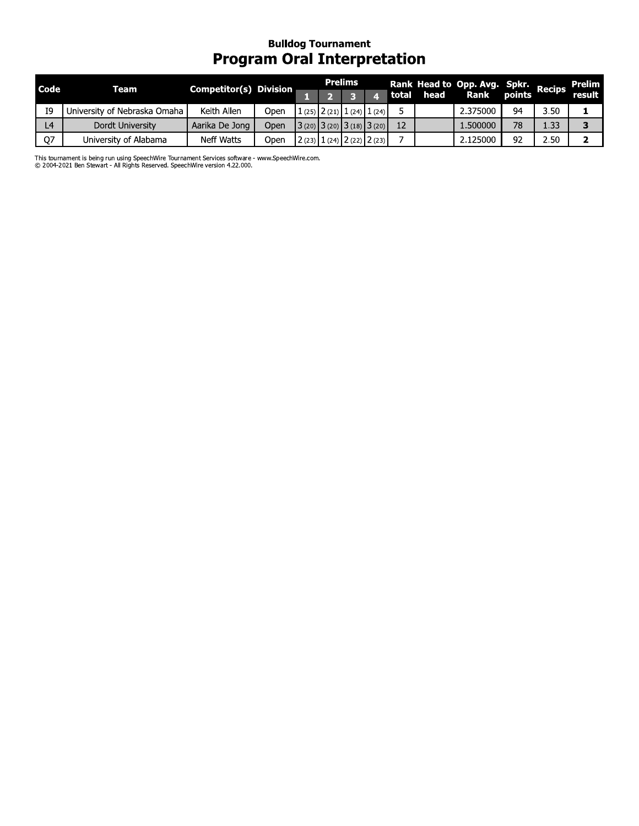### Bullaog Tournament Program Oral Interpretation

|                |                              |                               |      |   | <b>Prelims</b>                  |   |       |      | Rank Head to Opp. Avg. Spkr. |        |               | <b>Prelim</b> |
|----------------|------------------------------|-------------------------------|------|---|---------------------------------|---|-------|------|------------------------------|--------|---------------|---------------|
| Code           | <b>Team</b>                  | <b>Competitor(s) Division</b> |      | 1 | 3                               | 4 | total | head | Rank                         | points | <b>Recips</b> | result        |
| I9             | University of Nebraska Omaha | Keith Allen                   | Open |   | $1(25)$ $2(21)$ $1(24)$ $1(24)$ |   | 5     |      | 2.375000                     | 94     | 3.50          |               |
| L <sub>4</sub> | Dordt University             | Aarika De Jong                | Open |   | $3(20)$ $3(20)$ $3(18)$ $3(20)$ |   | 12    |      | 1.500000                     | 78     | 1.33          | 3             |
| Q7             | University of Alabama        | Neff Watts                    | Open |   | $2(23)$ $1(24)$ $2(22)$ $2(23)$ |   |       |      | 2.125000                     | 92     | 2.50          |               |